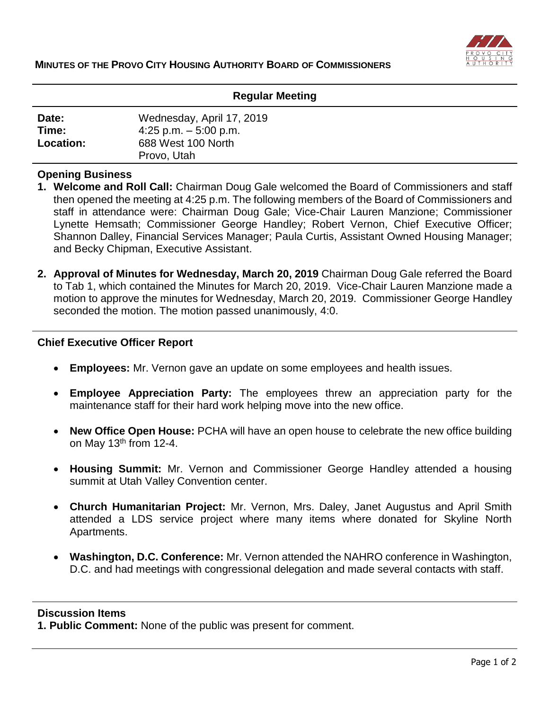

### **Regular Meeting**

| Date:     | Wednesday, April 17, 2019 |
|-----------|---------------------------|
| Time:     | 4:25 p.m. $-5:00$ p.m.    |
| Location: | 688 West 100 North        |
|           | Provo, Utah               |

## **Opening Business**

- **1. Welcome and Roll Call:** Chairman Doug Gale welcomed the Board of Commissioners and staff then opened the meeting at 4:25 p.m. The following members of the Board of Commissioners and staff in attendance were: Chairman Doug Gale; Vice-Chair Lauren Manzione; Commissioner Lynette Hemsath; Commissioner George Handley; Robert Vernon, Chief Executive Officer; Shannon Dalley, Financial Services Manager; Paula Curtis, Assistant Owned Housing Manager; and Becky Chipman, Executive Assistant.
- **2. Approval of Minutes for Wednesday, March 20, 2019** Chairman Doug Gale referred the Board to Tab 1, which contained the Minutes for March 20, 2019. Vice-Chair Lauren Manzione made a motion to approve the minutes for Wednesday, March 20, 2019. Commissioner George Handley seconded the motion. The motion passed unanimously, 4:0.

## **Chief Executive Officer Report**

- **Employees:** Mr. Vernon gave an update on some employees and health issues.
- **Employee Appreciation Party:** The employees threw an appreciation party for the maintenance staff for their hard work helping move into the new office.
- **New Office Open House:** PCHA will have an open house to celebrate the new office building on May 13<sup>th</sup> from 12-4.
- **Housing Summit:** Mr. Vernon and Commissioner George Handley attended a housing summit at Utah Valley Convention center.
- **Church Humanitarian Project:** Mr. Vernon, Mrs. Daley, Janet Augustus and April Smith attended a LDS service project where many items where donated for Skyline North Apartments.
- **Washington, D.C. Conference:** Mr. Vernon attended the NAHRO conference in Washington, D.C. and had meetings with congressional delegation and made several contacts with staff.

### **Discussion Items**

**1. Public Comment:** None of the public was present for comment.